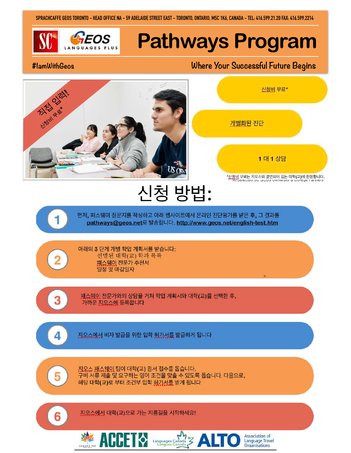**SPRACHCAFFE GEOS TORONTO - HEAD OFFICE NA - 59 ADELAIDE STREET EAST - TORONTO, ONTARIO, M5C 1K6, CANADA - TEL: 416.599.21.20 FAX: 416.599.2214**

# *GEOS* Pathways Program

### **#IamWithGeos Where Your Successful Future Begins**